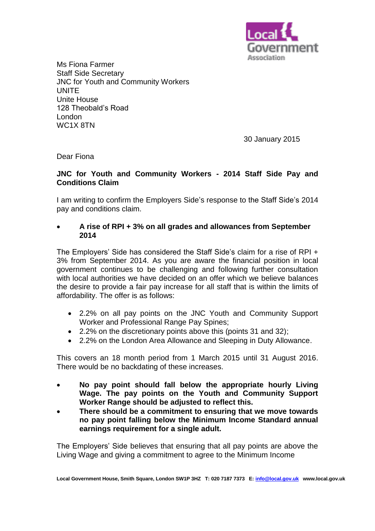

Ms Fiona Farmer Staff Side Secretary JNC for Youth and Community Workers UNITE Unite House 128 Theobald's Road London WC1X 8TN

30 January 2015

Dear Fiona

## **JNC for Youth and Community Workers - 2014 Staff Side Pay and Conditions Claim**

I am writing to confirm the Employers Side's response to the Staff Side's 2014 pay and conditions claim.

## **A rise of RPI + 3% on all grades and allowances from September 2014**

The Employers' Side has considered the Staff Side's claim for a rise of RPI + 3% from September 2014. As you are aware the financial position in local government continues to be challenging and following further consultation with local authorities we have decided on an offer which we believe balances the desire to provide a fair pay increase for all staff that is within the limits of affordability. The offer is as follows:

- 2.2% on all pay points on the JNC Youth and Community Support Worker and Professional Range Pay Spines;
- 2.2% on the discretionary points above this (points 31 and 32);
- 2.2% on the London Area Allowance and Sleeping in Duty Allowance.

This covers an 18 month period from 1 March 2015 until 31 August 2016. There would be no backdating of these increases.

- **No pay point should fall below the appropriate hourly Living Wage. The pay points on the Youth and Community Support Worker Range should be adjusted to reflect this.**
- **There should be a commitment to ensuring that we move towards no pay point falling below the Minimum Income Standard annual earnings requirement for a single adult.**

The Employers' Side believes that ensuring that all pay points are above the Living Wage and giving a commitment to agree to the Minimum Income